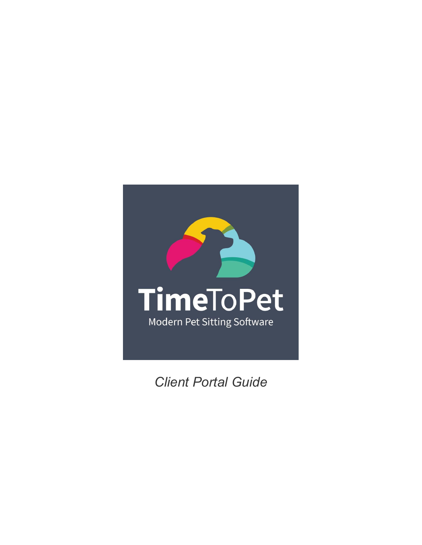

*Client Portal Guide*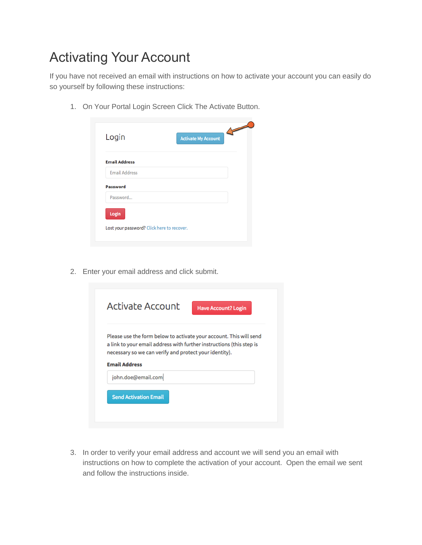# Activating Your Account

If you have not received an email with instructions on how to activate your account you can easily do so yourself by following these instructions:

1. On Your Portal Login Screen Click The Activate Button.

| Login                                      | <b>Activate My Account</b> |
|--------------------------------------------|----------------------------|
| <b>Email Address</b>                       |                            |
| <b>Email Address</b>                       |                            |
| <b>Password</b>                            |                            |
| Password                                   |                            |
| Login                                      |                            |
| Lost your password? Click here to recover. |                            |

2. Enter your email address and click submit.

| Activate Account                                                               | <b>Have Account? Login</b>                                                                                                                 |
|--------------------------------------------------------------------------------|--------------------------------------------------------------------------------------------------------------------------------------------|
| necessary so we can verify and protect your identity).<br><b>Email Address</b> | Please use the form below to activate your account. This will send<br>a link to your email address with further instructions (this step is |
| john.doe@email.com                                                             |                                                                                                                                            |
|                                                                                |                                                                                                                                            |

3. In order to verify your email address and account we will send you an email with instructions on how to complete the activation of your account. Open the email we sent and follow the instructions inside.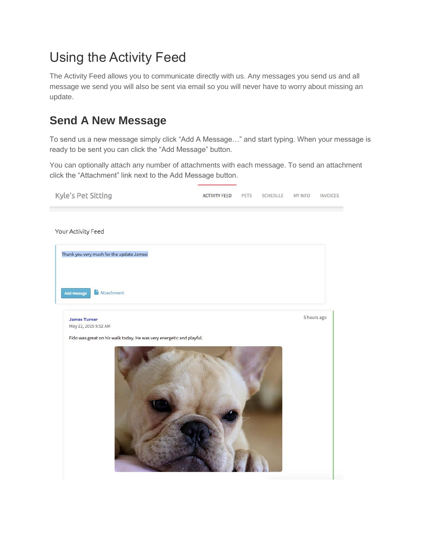## Using the Activity Feed

The Activity Feed allows you to communicate directly with us. Any messages you send us and all message we send you will also be sent via email so you will never have to worry about missing an update.

#### **Send A New Message**

To send us a new message simply click "Add A Message…" and start typing. When your message is ready to be sent you can click the "Add Message" button.

You can optionally attach any number of attachments with each message. To send an attachment click the "Attachment" link next to the Add Message button.

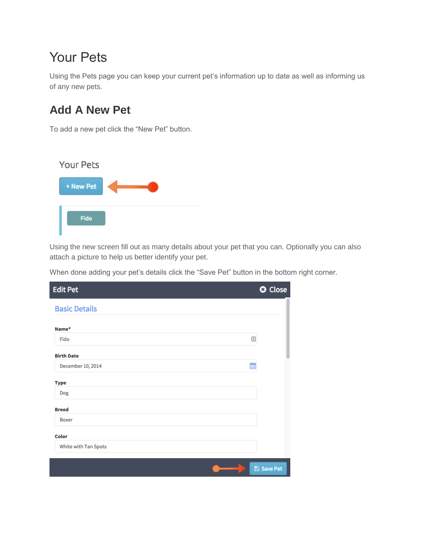## Your Pets

Using the Pets page you can keep your current pet's information up to date as well as informing us of any new pets.

### **Add A New Pet**

To add a new pet click the "New Pet" button.



Using the new screen fill out as many details about your pet that you can. Optionally you can also attach a picture to help us better identify your pet.

When done adding your pet's details click the "Save Pet" button in the bottom right corner.

| <b>Edit Pet</b>        | <b>O</b> Close    |
|------------------------|-------------------|
| <b>Basic Details</b>   |                   |
| Name*                  |                   |
| Fido                   | $\triangleq$      |
| <b>Birth Date</b>      |                   |
| ₩<br>December 10, 2014 |                   |
| <b>Type</b>            |                   |
| Dog                    |                   |
| <b>Breed</b>           |                   |
| <b>Boxer</b>           |                   |
| Color                  |                   |
| White with Tan Spots   |                   |
|                        | <b>A</b> Save Pet |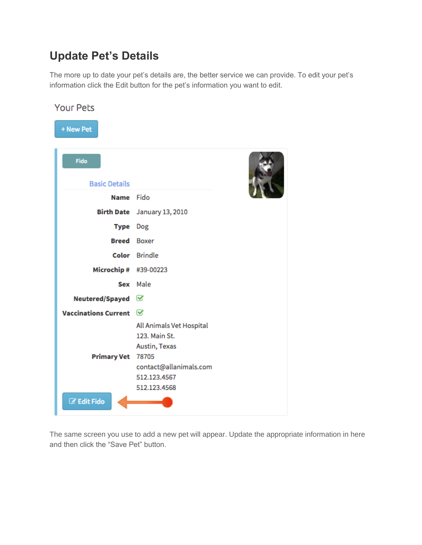#### **Update Pet's Details**

The more up to date your pet's details are, the better service we can provide. To edit your pet's information click the Edit button for the pet's information you want to edit.

| <b>Your Pets</b>            |                                                                                                                               |  |
|-----------------------------|-------------------------------------------------------------------------------------------------------------------------------|--|
| + New Pet                   |                                                                                                                               |  |
| Fido                        |                                                                                                                               |  |
| <b>Basic Details</b>        |                                                                                                                               |  |
| Name Fido                   |                                                                                                                               |  |
|                             | Birth Date January 13, 2010                                                                                                   |  |
| <b>Type</b>                 | Dog                                                                                                                           |  |
| <b>Breed</b> Boxer          |                                                                                                                               |  |
|                             | Color Brindle                                                                                                                 |  |
| Microchip # #39-00223       |                                                                                                                               |  |
|                             | Sex Male                                                                                                                      |  |
| Neutered/Spayed             | ✔                                                                                                                             |  |
| <b>Vaccinations Current</b> | $\breve{\phantom{a}}$                                                                                                         |  |
| <b>Primary Vet</b>          | All Animals Vet Hospital<br>123. Main St.<br>Austin, Texas<br>78705<br>contact@allanimals.com<br>512.123.4567<br>512.123.4568 |  |
| <b>Z</b> Edit Fido          |                                                                                                                               |  |

The same screen you use to add a new pet will appear. Update the appropriate information in here and then click the "Save Pet" button.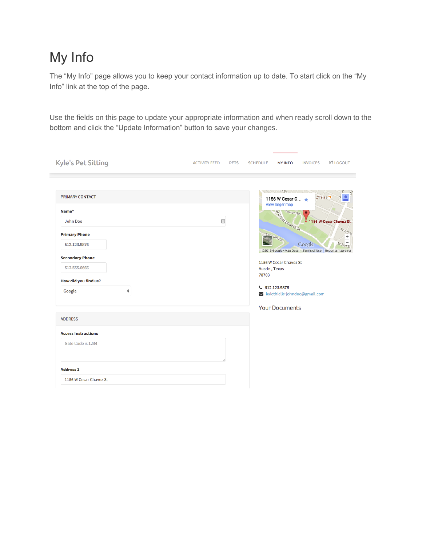## My Info

The "My Info" page allows you to keep your contact information up to date. To start click on the "My Info" link at the top of the page.

Use the fields on this page to update your appropriate information and when ready scroll down to the bottom and click the "Update Information" button to save your changes.

| Kyle's Pet Sitting                                                                                                            | <b>C</b> LOGOUT<br><b>ACTIVITY FEED</b><br><b>PETS</b><br><b>SCHEDULE</b><br><b>MY INFO</b><br><b>INVOICES</b>                                                                                                                                                                                      |
|-------------------------------------------------------------------------------------------------------------------------------|-----------------------------------------------------------------------------------------------------------------------------------------------------------------------------------------------------------------------------------------------------------------------------------------------------|
| <b>PRIMARY CONTACT</b><br>Name*<br>John Doe<br><b>Primary Phone</b><br>512.123.9876<br><b>Secondary Phone</b><br>512.555.6666 | $\sqrt{N}$<br>Z'Tejas Y<br>1156 W Cesar C<br>View larger map<br>H.Cegar Chavez St.<br>$\triangleq$<br>1156 W Cesar Chavez St<br>W. 3rd. St<br>Lor.<br>÷<br>$\qquad \qquad$<br>Google<br>@2015 Google Map Data esTerms of Use Report a map error<br>1156 W Cesar Chavez St<br>Austin, Texas<br>78703 |
| How did you find us?<br>÷<br>Google                                                                                           | € 512.123.9876<br>kylethielk+johndoe@gmail.com                                                                                                                                                                                                                                                      |
|                                                                                                                               | <b>Your Documents</b>                                                                                                                                                                                                                                                                               |
| <b>ADDRESS</b>                                                                                                                |                                                                                                                                                                                                                                                                                                     |
| <b>Access Instructions</b>                                                                                                    |                                                                                                                                                                                                                                                                                                     |
| Gate Code is 1234                                                                                                             |                                                                                                                                                                                                                                                                                                     |
| <b>Address 1</b>                                                                                                              |                                                                                                                                                                                                                                                                                                     |
| 1156 W Cesar Chavez St                                                                                                        |                                                                                                                                                                                                                                                                                                     |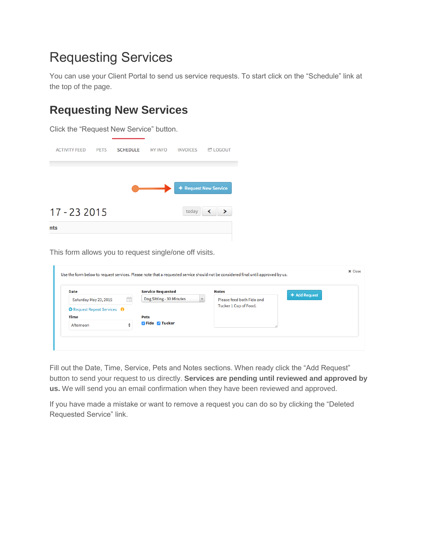## Requesting Services

You can use your Client Portal to send us service requests. To start click on the "Schedule" link at the top of the page.

### **Requesting New Services**

Click the "Request New Service" button.

| <b>ACTIVITY FEED</b> | <b>PETS</b> | <b>SCHEDULE</b> | <b>MY INFO</b> | <b>INVOICES</b> | <b>C</b> LOGOUT       |
|----------------------|-------------|-----------------|----------------|-----------------|-----------------------|
|                      |             |                 |                |                 | + Request New Service |
| 17 - 23 2015         |             |                 |                | today           | ≺<br>$\rightarrow$    |
| nts                  |             |                 |                |                 |                       |

This form allows you to request single/one off visits.

| Date                                      | <b>Service Requested</b> | <b>Notes</b>              | + Add Request |
|-------------------------------------------|--------------------------|---------------------------|---------------|
| 曲<br>Saturday May 23, 2015                | Dog Sitting - 30 Minutes | Please feed both Fido and |               |
| <b>O</b> Request Repeat Services <b>O</b> |                          | Tucker 1 Cup of Food.     |               |
| <b>Time</b>                               | <b>Pets</b>              |                           |               |
| Afternoon<br>÷                            | <b>Z</b> Fido 7 Tucker   |                           |               |

Fill out the Date, Time, Service, Pets and Notes sections. When ready click the "Add Request" button to send your request to us directly. **Services are pending until reviewed and approved by us.** We will send you an email confirmation when they have been reviewed and approved.

If you have made a mistake or want to remove a request you can do so by clicking the "Deleted Requested Service" link.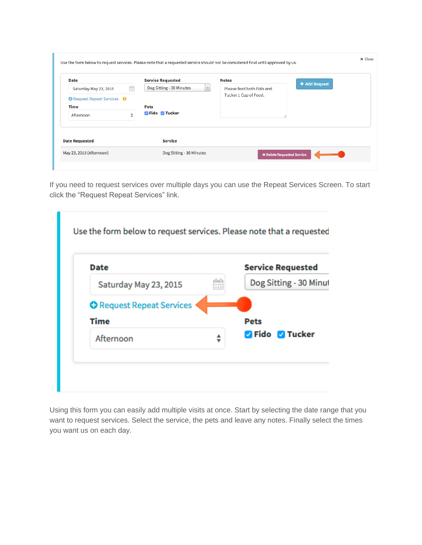| <b>Date</b>                                               | <b>Service Requested</b>      | <b>Notes</b>              | + Add Request |
|-----------------------------------------------------------|-------------------------------|---------------------------|---------------|
| 曲<br>Saturday May 23, 2015                                | Dog Sitting - 30 Minutes      | Please feed both Fido and |               |
| <b>O</b> Request Repeat Services <b>O</b>                 |                               | Tucker 1 Cup of Food.     |               |
| <b>Time</b>                                               | <b>Pets</b>                   |                           |               |
| $\blacktriangle$<br>Afternoon<br>$\overline{\phantom{a}}$ | <b>7</b> Fido <b>7</b> Tucker |                           |               |
| <b>Date Requested</b>                                     | <b>Service</b>                |                           |               |

If you need to request services over multiple days you can use the Repeat Services Screen. To start click the "Request Repeat Services" link.



Using this form you can easily add multiple visits at once. Start by selecting the date range that you want to request services. Select the service, the pets and leave any notes. Finally select the times you want us on each day.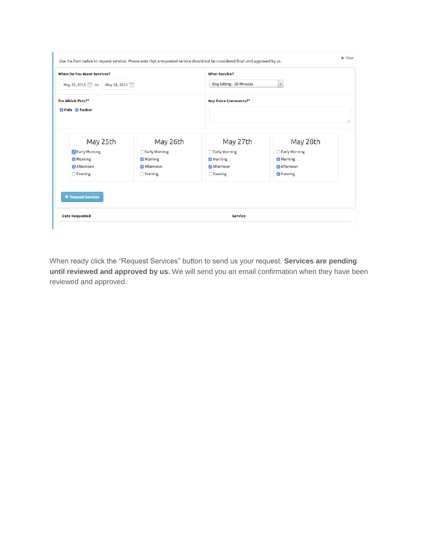| <b>When Do You Want Services?</b><br>May 28, 2015<br>May 25, 2015 to |                      | <b>What Service?</b><br>Dog Sitting - 30 Minutes<br>$\mathbf{v}$ |                             |  |
|----------------------------------------------------------------------|----------------------|------------------------------------------------------------------|-----------------------------|--|
|                                                                      |                      |                                                                  |                             |  |
| For Which Pets?*<br><b>7</b> Fido 7 Tucker                           |                      | <b>Any Extra Comments?*</b>                                      |                             |  |
| May 25th                                                             | May 26th             | May 27th                                                         | May 28th                    |  |
| Early Morning                                                        | Early Morning        | □ Early Morning                                                  | □ Early Morning             |  |
| Morning                                                              | <b>Morning</b>       | Morning                                                          | Morning                     |  |
| Afternoon<br>$\Box$ Evening                                          | Afternoon<br>Evening | <b>Afternoon</b><br>$\Box$ Evening                               | Afternoon<br>$\vee$ Evening |  |
| + Request Services                                                   |                      |                                                                  |                             |  |
|                                                                      |                      | <b>Service</b>                                                   |                             |  |

When ready click the "Request Services" button to send us your request. **Services are pending until reviewed and approved by us.** We will send you an email confirmation when they have been reviewed and approved.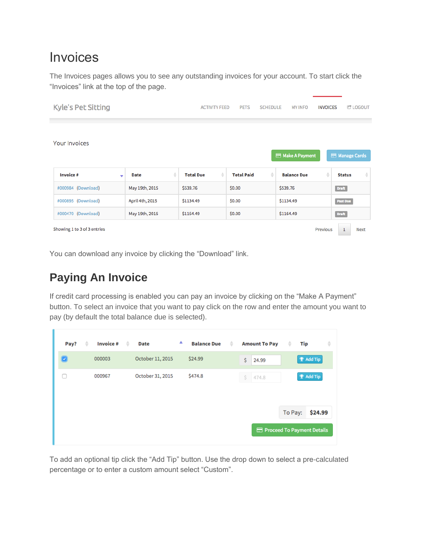## **Invoices**

The Invoices pages allows you to see any outstanding invoices for your account. To start click the "Invoices" link at the top of the page.

| <b>Kyle's Pet Sitting</b>                                              |                  | <b>ACTIVITY FEED</b>  | <b>PETS</b><br><b>SCHEDULE</b> | <b>MY INFO</b>     | <b>C</b> LOGOUT<br><b>INVOICES</b> |              |
|------------------------------------------------------------------------|------------------|-----------------------|--------------------------------|--------------------|------------------------------------|--------------|
|                                                                        |                  |                       |                                |                    |                                    |              |
| Your Invoices                                                          |                  |                       |                                | Make A Payment     | Manage Cards                       |              |
| <b>Invoice#</b><br>$\overline{\mathbf{v}}$                             | ê<br><b>Date</b> | ÷<br><b>Total Due</b> | ÷<br><b>Total Paid</b>         | <b>Balance Due</b> | ÷<br><b>Status</b>                 | $\triangleq$ |
| #000984 (Download)                                                     | May 19th, 2015   | \$539.76              | \$0.00                         | \$539.76           | <b>Draft</b>                       |              |
| #000895 (Download)                                                     | April 4th, 2015  | \$1134.49             | \$0.00                         | \$1134.49          | <b>Past Due</b>                    |              |
| #000470 (Download)                                                     | May 19th, 2015   | \$1164.49             | \$0.00                         | \$1164.49          | <b>Draft</b>                       |              |
| Showing 1 to 3 of 3 entries<br>$1\,$<br><b>Next</b><br><b>Previous</b> |                  |                       |                                |                    |                                    |              |

You can download any invoice by clicking the "Download" link.

### **Paying An Invoice**

If credit card processing is enabled you can pay an invoice by clicking on the "Make A Payment" button. To select an invoice that you want to pay click on the row and enter the amount you want to pay (by default the total balance due is selected).

| Pay? | <b>Invoice#</b><br>÷ | ▲<br>$\triangleq$<br><b>Date</b> | $\div$<br><b>Balance Due</b> | <b>Amount To Pay</b> | $\Rightarrow$<br>÷<br>Tip  |
|------|----------------------|----------------------------------|------------------------------|----------------------|----------------------------|
|      | 000003               | October 11, 2015                 | \$24.99                      | \$<br>24.99          | <b>P</b> Add Tip           |
|      | 000967               | October 31, 2015                 | \$474.8                      | \$474.8              | <b>P</b> Add Tip           |
|      |                      |                                  |                              |                      | \$24.99<br>To Pay:         |
|      |                      |                                  |                              |                      | Proceed To Payment Details |

To add an optional tip click the "Add Tip" button. Use the drop down to select a pre-calculated percentage or to enter a custom amount select "Custom".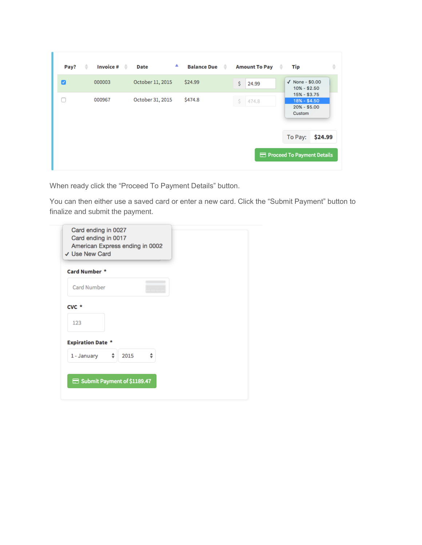| Pay?                     | <b>Invoice #</b><br>÷ | ٨<br>÷<br><b>Date</b> |         | <b>Amount To Pay</b> | ÷<br>÷<br>Tip                                             |
|--------------------------|-----------------------|-----------------------|---------|----------------------|-----------------------------------------------------------|
| $\overline{\mathcal{L}}$ | 000003                | October 11, 2015      | \$24.99 | \$<br>24.99          | $\sqrt{}$ None - \$0.00<br>$10\% - $2.50$                 |
|                          | 000967                | October 31, 2015      | \$474.8 | Ś.<br>474.8          | $15% - $3.75$<br>18% - \$4.50<br>$20\% - $5.00$<br>Custom |
|                          |                       |                       |         |                      | To Pay:<br>\$24.99                                        |
|                          |                       |                       |         |                      | Proceed To Payment Details                                |

When ready click the "Proceed To Payment Details" button.

You can then either use a saved card or enter a new card. Click the "Submit Payment" button to finalize and submit the payment.